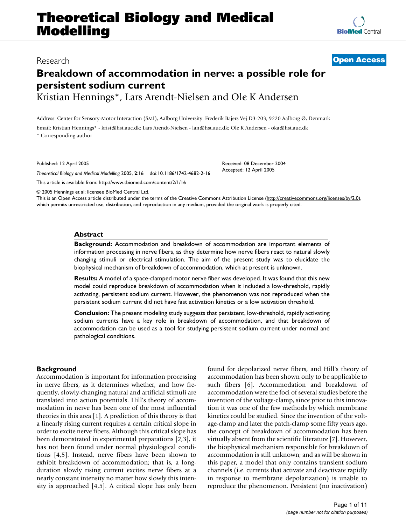# **Theoretical Biology and Medical Modelling**

# **Breakdown of accommodation in nerve: a possible role for persistent sodium current**

Kristian Hennings\*, Lars Arendt-Nielsen and Ole K Andersen

Address: Center for Sensory-Motor Interaction (SMI), Aalborg University. Frederik Bajers Vej D3-203, 9220 Aalborg Ø, Denmark Email: Kristian Hennings\* - krist@hst.auc.dk; Lars Arendt-Nielsen - lan@hst.auc.dk; Ole K Andersen - oka@hst.auc.dk \* Corresponding author

Published: 12 April 2005

*Theoretical Biology and Medical Modelling* 2005, **2**:16 doi:10.1186/1742-4682-2-16

[This article is available from: http://www.tbiomed.com/content/2/1/16](http://www.tbiomed.com/content/2/1/16)

© 2005 Hennings et al; licensee BioMed Central Ltd.

This is an Open Access article distributed under the terms of the Creative Commons Attribution License [\(http://creativecommons.org/licenses/by/2.0\)](http://creativecommons.org/licenses/by/2.0), which permits unrestricted use, distribution, and reproduction in any medium, provided the original work is properly cited.

#### **Abstract**

**Background:** Accommodation and breakdown of accommodation are important elements of information processing in nerve fibers, as they determine how nerve fibers react to natural slowly changing stimuli or electrical stimulation. The aim of the present study was to elucidate the biophysical mechanism of breakdown of accommodation, which at present is unknown.

**Results:** A model of a space-clamped motor nerve fiber was developed. It was found that this new model could reproduce breakdown of accommodation when it included a low-threshold, rapidly activating, persistent sodium current. However, the phenomenon was not reproduced when the persistent sodium current did not have fast activation kinetics or a low activation threshold.

**Conclusion:** The present modeling study suggests that persistent, low-threshold, rapidly activating sodium currents have a key role in breakdown of accommodation, and that breakdown of accommodation can be used as a tool for studying persistent sodium current under normal and pathological conditions.

# **Background**

Accommodation is important for information processing in nerve fibers, as it determines whether, and how frequently, slowly-changing natural and artificial stimuli are translated into action potentials. Hill's theory of accommodation in nerve has been one of the most influential theories in this area [1]. A prediction of this theory is that a linearly rising current requires a certain critical slope in order to excite nerve fibers. Although this critical slope has been demonstrated in experimental preparations [2,3], it has not been found under normal physiological conditions [4,5]. Instead, nerve fibers have been shown to exhibit breakdown of accommodation; that is, a longduration slowly rising current excites nerve fibers at a nearly constant intensity no matter how slowly this intensity is approached [4,5]. A critical slope has only been found for depolarized nerve fibers, and Hill's theory of accommodation has been shown only to be applicable to such fibers [6]. Accommodation and breakdown of accommodation were the foci of several studies before the invention of the voltage-clamp, since prior to this innovation it was one of the few methods by which membrane kinetics could be studied. Since the invention of the voltage-clamp and later the patch-clamp some fifty years ago, the concept of breakdown of accommodation has been virtually absent from the scientific literature [7]. However, the biophysical mechanism responsible for breakdown of accommodation is still unknown; and as will be shown in this paper, a model that only contains transient sodium channels (i.e. currents that activate and deactivate rapidly in response to membrane depolarization) is unable to reproduce the phenomenon. Persistent (no inactivation)

Research **[Open Access](http://www.biomedcentral.com/info/about/charter/)**

Accepted: 12 April 2005

Received: 08 December 2004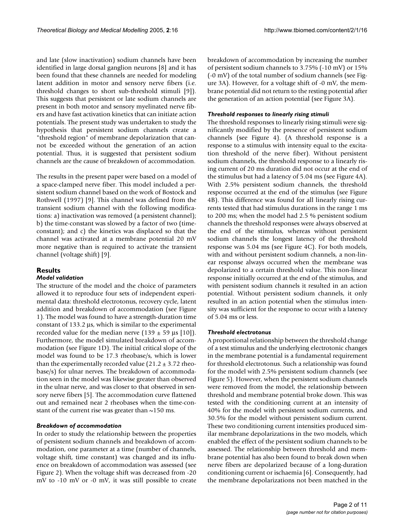and late (slow inactivation) sodium channels have been identified in large dorsal ganglion neurons [8] and it has been found that these channels are needed for modeling latent addition in motor and sensory nerve fibers (i.e. threshold changes to short sub-threshold stimuli [9]). This suggests that persistent or late sodium channels are present in both motor and sensory myelinated nerve fibers and have fast activation kinetics that can initiate action potentials. The present study was undertaken to study the hypothesis that persistent sodium channels create a "threshold region" of membrane depolarization that cannot be exceeded without the generation of an action potential. Thus, it is suggested that persistent sodium channels are the cause of breakdown of accommodation.

The results in the present paper were based on a model of a space-clamped nerve fiber. This model included a persistent sodium channel based on the work of Bostock and Rothwell (1997) [9]. This channel was defined from the transient sodium channel with the following modifications: a) inactivation was removed (a persistent channel); b) the time-constant was slowed by a factor of two (timeconstant); and c) the kinetics was displaced so that the channel was activated at a membrane potential 20 mV more negative than is required to activate the transient channel (voltage shift) [9].

### **Results**

#### *Model validation*

The structure of the model and the choice of parameters allowed it to reproduce four sets of independent experimental data: threshold electrotonus, recovery cycle, latent addition and breakdown of accommodation (see Figure [1\)](#page-2-0). The model was found to have a strength-duration time constant of 133.2 µs, which is similar to the experimental recorded value for the median nerve  $(139 \pm 59 \,\mu s \, [10])$ . Furthermore, the model simulated breakdown of accommodation (see Figure [1](#page-2-0)D). The initial critical slope of the model was found to be 17.3 rheobase/s, which is lower than the experimentally recorded value  $(21.2 \pm 3.72 \text{ rheo}$ base/s) for ulnar nerves. The breakdown of accommodation seen in the model was likewise greater than observed in the ulnar nerve, and was closer to that observed in sensory nerve fibers [5]. The accommodation curve flattened out and remained near 2 rheobases when the time-constant of the current rise was greater than  $\sim$ 150 ms.

#### *Breakdown of accommodation*

In order to study the relationship between the properties of persistent sodium channels and breakdown of accommodation, one parameter at a time (number of channels, voltage shift, time constant) was changed and its influence on breakdown of accommodation was assessed (see Figure [2](#page-3-0)). When the voltage shift was decreased from -20 mV to -10 mV or -0 mV, it was still possible to create breakdown of accommodation by increasing the number of persistent sodium channels to 3.75% (-10 mV) or 15% (-0 mV) of the total number of sodium channels (see Figure [3A](#page-3-1)). However, for a voltage shift of -0 mV, the membrane potential did not return to the resting potential after the generation of an action potential (see Figure [3A](#page-3-1)).

#### *Threshold responses to linearly rising stimuli*

The threshold responses to linearly rising stimuli were significantly modified by the presence of persistent sodium channels (see Figure [4](#page-4-0)). (A threshold response is a response to a stimulus with intensity equal to the excitation threshold of the nerve fiber). Without persistent sodium channels, the threshold response to a linearly rising current of 20 ms duration did not occur at the end of the stimulus but had a latency of 5.04 ms (see Figure [4](#page-4-0)A). With 2.5% persistent sodium channels, the threshold response occurred at the end of the stimulus (see Figure [4](#page-4-0)B). This difference was found for all linearly rising currents tested that had stimulus durations in the range 1 ms to 200 ms; when the model had 2.5 % persistent sodium channels the threshold responses were always observed at the end of the stimulus, whereas without persistent sodium channels the longest latency of the threshold response was 5.04 ms (see Figure [4C](#page-4-0)). For both models, with and without persistent sodium channels, a non-linear response always occurred when the membrane was depolarized to a certain threshold value. This non-linear response initially occurred at the end of the stimulus, and with persistent sodium channels it resulted in an action potential. Without persistent sodium channels, it only resulted in an action potential when the stimulus intensity was sufficient for the response to occur with a latency of 5.04 ms or less.

#### *Threshold electrotonus*

A proportional relationship between the threshold change of a test stimulus and the underlying electrotonic changes in the membrane potential is a fundamental requirement for threshold electrotonus. Such a relationship was found for the model with 2.5% persistent sodium channels (see Figure 5). However, when the persistent sodium channels were removed from the model, the relationship between threshold and membrane potential broke down. This was tested with the conditioning current at an intensity of 40% for the model with persistent sodium currents, and 30.5% for the model without persistent sodium current. These two conditioning current intensities produced similar membrane depolarizations in the two models, which enabled the effect of the persistent sodium channels to be assessed. The relationship between threshold and membrane potential has also been found to break down when nerve fibers are depolarized because of a long-duration conditioning current or ischaemia [6]. Consequently, had the membrane depolarizations not been matched in the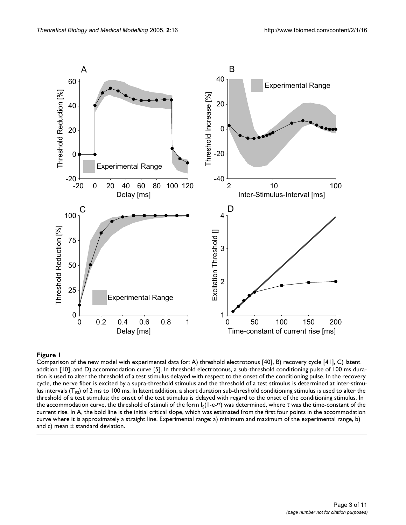<span id="page-2-0"></span>

# Comparison of the new model with experime addition [10], and D) **Figure 1** accommodation curve [5]ntal data for: A) threshold electrotonus [40], B) recovery cycle [41], C) latent

Comparison of the new model with experimental data for: A) threshold electrotonus [40], B) recovery cycle [41], C) latent addition [10], and D) accommodation curve [5]. In threshold electrotonus, a sub-threshold conditioning pulse of 100 ms duration is used to alter the threshold of a test stimulus delayed with respect to the onset of the conditioning pulse. In the recovery cycle, the nerve fiber is excited by a supra-threshold stimulus and the threshold of a test stimulus is determined at inter-stimulus intervals ( $T_{\text{IS}}$ ) of 2 ms to 100 ms. In latent addition, a short duration sub-threshold conditioning stimulus is used to alter the threshold of a test stimulus; the onset of the test stimulus is delayed with regard to the onset of the conditioning stimulus. In the accommodation curve, the threshold of stimuli of the form  $I_S(1-e^{-t\tau})$  was determined, where τ was the time-constant of the current rise. In A, the bold line is the initial critical slope, which was estimated from the first four points in the accommodation curve where it is approximately a straight line. Experimental range: a) minimum and maximum of the experimental range, b) and c) mean ± standard deviation.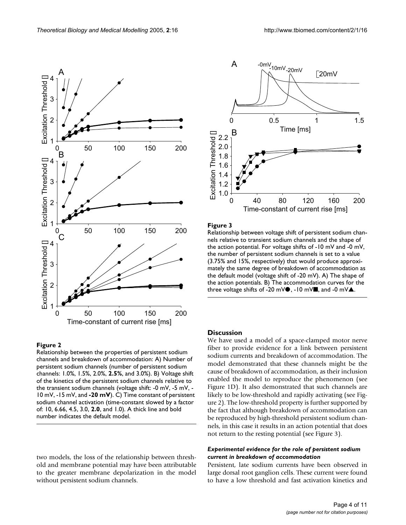two models, the loss of the relationship between threshold and membrane potential may have been attributable to the greater membrane depolarization in the model without persistent sodium channels.

<span id="page-3-0"></span>

### **Figure 2**

Relationship between the properties of persistent sodium channels and breakdown of accommodation: A) Number of persistent sodium channels (number of persistent sodium channels: 1.0%, 1.5%, 2.0%, **2.5%**, and 3.0%). B) Voltage shift of the kinetics of the persistent sodium channels relative to the transient sodium channels (voltage shift: -0 mV, -5 mV, - 10 mV, -15 mV, and **-20 mV**). C) Time constant of persistent sodium channel activation (time-constant slowed by a factor of: 10, 6.66, 4.5, 3.0, **2.0**, and 1.0). A thick line and bold number indicates the default model.

<span id="page-3-1"></span>

# Figure 3

*Theoretical Biology and Medical Modelling* 2005, 2:16 http://www.tbiomed.com/content/2/1/16

Relationship between voltage shift of persistent sodium channels relative to transient sodium channels and the shape of the action potential. For voltage shifts of -10 mV and -0 mV, the number of persistent sodium channels is set to a value (3.75% and 15%, respectively) that would produce approximately the same degree of breakdown of accommodation as the default model (voltage shift of -20 mV). A) The shape of the action potentials. B) The accommodation curves for the three voltage shifts of -20 mV $\bullet$ , -10 mV $\bullet$ , and -0 mV $\blacktriangle$ .

#### **Discussion**

We have used a model of a space-clamped motor nerve fiber to provide evidence for a link between persistent sodium currents and breakdown of accommodation. The model demonstrated that these channels might be the cause of breakdown of accommodation, as their inclusion enabled the model to reproduce the phenomenon (see Figure [1D](#page-2-0)). It also demonstrated that such channels are likely to be low-threshold and rapidly activating (see Figure [2](#page-3-0)). The low-threshold property is further supported by the fact that although breakdown of accommodation can be reproduced by high-threshold persistent sodium channels, in this case it results in an action potential that does not return to the resting potential (see Figure [3\)](#page-3-1).

# *Experimental evidence for the role of persistent sodium current in breakdown of accommodation*

Persistent, late sodium currents have been observed in large dorsal root ganglion cells. These current were found to have a low threshold and fast activation kinetics and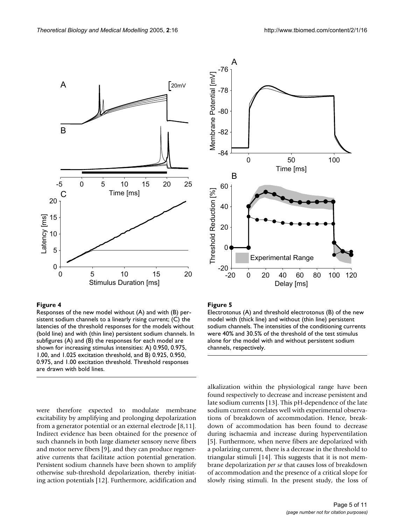<span id="page-4-0"></span>

#### Figure 4

Responses of the new model without (A) and with (B) persistent sodium channels to a linearly rising current; (C) the latencies of the threshold responses for the models without (bold line) and with (thin line) persistent sodium channels. In subfigures (A) and (B) the responses for each model are shown for increasing stimulus intensities: A) 0.950, 0.975, 1.00, and 1.025 excitation threshold, and B) 0.925, 0.950, 0.975, and 1.00 excitation threshold. Threshold responses are drawn with bold lines.

were therefore expected to modulate membrane excitability by amplifying and prolonging depolarization from a generator potential or an external electrode [8,11]. Indirect evidence has been obtained for the presence of such channels in both large diameter sensory nerve fibers and motor nerve fibers [9], and they can produce regenerative currents that facilitate action potential generation. Persistent sodium channels have been shown to amplify otherwise sub-threshold depolarization, thereby initiating action potentials [12]. Furthermore, acidification and



### Figure 5

Electrotonus (A) and threshold electrotonus (B) of the new model with (thick line) and without (thin line) persistent sodium channels. The intensities of the conditioning currents were 40% and 30.5% of the threshold of the test stimulus alone for the model with and without persistent sodium channels, respectively.

alkalization within the physiological range have been found respectively to decrease and increase persistent and late sodium currents [13]. This pH-dependence of the late sodium current correlates well with experimental observations of breakdown of accommodation. Hence, breakdown of accommodation has been found to decrease during ischaemia and increase during hyperventilation [5]. Furthermore, when nerve fibers are depolarized with a polarizing current, there is a decrease in the threshold to triangular stimuli [14]. This suggests that it is not membrane depolarization *per se* that causes loss of breakdown of accommodation and the presence of a critical slope for slowly rising stimuli. In the present study, the loss of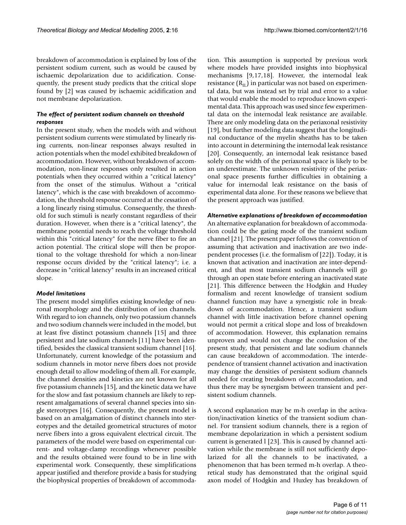breakdown of accommodation is explained by loss of the persistent sodium current, such as would be caused by ischaemic depolarization due to acidification. Consequently, the present study predicts that the critical slope found by [2] was caused by ischaemic acidification and not membrane depolarization.

# *The effect of persistent sodium channels on threshold responses*

In the present study, when the models with and without persistent sodium currents were stimulated by linearly rising currents, non-linear responses always resulted in action potentials when the model exhibited breakdown of accommodation. However, without breakdown of accommodation, non-linear responses only resulted in action potentials when they occurred within a "critical latency" from the onset of the stimulus. Without a "critical latency", which is the case with breakdown of accommodation, the threshold response occurred at the cessation of a long linearly rising stimulus. Consequently, the threshold for such stimuli is nearly constant regardless of their duration. However, when there is a "critical latency", the membrane potential needs to reach the voltage threshold within this "critical latency" for the nerve fiber to fire an action potential. The critical slope will then be proportional to the voltage threshold for which a non-linear response occurs divided by the "critical latency"; i.e. a decrease in "critical latency" results in an increased critical slope.

#### *Model limitations*

The present model simplifies existing knowledge of neuronal morphology and the distribution of ion channels. With regard to ion channels, only two potassium channels and two sodium channels were included in the model, but at least five distinct potassium channels [15] and three persistent and late sodium channels [11] have been identified, besides the classical transient sodium channel [16]. Unfortunately, current knowledge of the potassium and sodium channels in motor nerve fibers does not provide enough detail to allow modeling of them all. For example, the channel densities and kinetics are not known for all five potassium channels [15], and the kinetic data we have for the slow and fast potassium channels are likely to represent amalgamations of several channel species into single stereotypes [16]. Consequently, the present model is based on an amalgamation of distinct channels into stereotypes and the detailed geometrical structures of motor nerve fibers into a gross equivalent electrical circuit. The parameters of the model were based on experimental current- and voltage-clamp recordings whenever possible and the results obtained were found to be in line with experimental work. Consequently, these simplifications appear justified and therefore provide a basis for studying the biophysical properties of breakdown of accommodation. This assumption is supported by previous work where models have provided insights into biophysical mechanisms [9,17,18]. However, the internodal leak resistance  $(R<sub>II</sub>)$  in particular was not based on experimental data, but was instead set by trial and error to a value that would enable the model to reproduce known experimental data. This approach was used since few experimental data on the internodal leak resistance are available. There are only modeling data on the periaxonal resistivity [19], but further modeling data suggest that the longitudinal conductance of the myelin sheaths has to be taken into account in determining the internodal leak resistance [20]. Consequently, an internodal leak resistance based solely on the width of the periaxonal space is likely to be an underestimate. The unknown resistivity of the periaxonal space presents further difficulties in obtaining a value for internodal leak resistance on the basis of experimental data alone. For these reasons we believe that the present approach was justified.

#### *Alternative explanations of breakdown of accommodation*

An alternative explanation for breakdown of accommodation could be the gating mode of the transient sodium channel [21]. The present paper follows the convention of assuming that activation and inactivation are two independent processes (i.e. the formalism of [22]). Today, it is known that activation and inactivation are inter-dependent, and that most transient sodium channels will go through an open state before entering an inactivated state [21]. This difference between the Hodgkin and Huxley formalism and recent knowledge of transient sodium channel function may have a synergistic role in breakdown of accommodation. Hence, a transient sodium channel with little inactivation before channel opening would not permit a critical slope and loss of breakdown of accommodation. However, this explanation remains unproven and would not change the conclusion of the present study, that persistent and late sodium channels can cause breakdown of accommodation. The interdependence of transient channel activation and inactivation may change the densities of persistent sodium channels needed for creating breakdown of accommodation, and thus there may be synergism between transient and persistent sodium channels.

A second explanation may be m-h overlap in the activation/inactivation kinetics of the transient sodium channel. For transient sodium channels, there is a region of membrane depolarization in which a persistent sodium current is generated l [23]. This is caused by channel activation while the membrane is still not sufficiently depolarized for all the channels to be inactivated, a phenomenon that has been termed m-h overlap. A theoretical study has demonstrated that the original squid axon model of Hodgkin and Huxley has breakdown of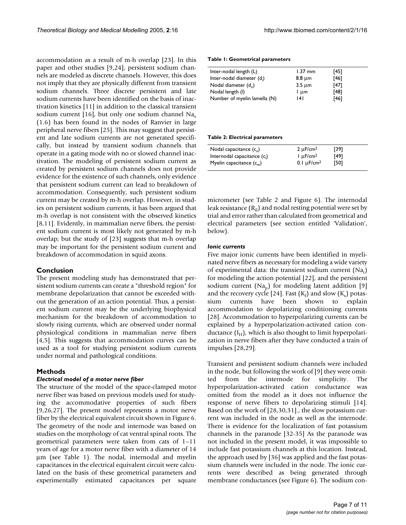accommodation as a result of m-h overlap [23]. In this paper and other studies [9,24], persistent sodium channels are modeled as discrete channels. However, this does not imply that they are physically different from transient sodium channels. Three discrete persistent and late sodium currents have been identified on the basis of inactivation kinetics [11] in addition to the classical transient sodium current [16], but only one sodium channel  $Na<sub>v</sub>$ (1.6) has been found in the nodes of Ranvier in large peripheral nerve fibers [25]. This may suggest that persistent and late sodium currents are not generated specifically, but instead by transient sodium channels that operate in a gating mode with no or slowed channel inactivation. The modeling of persistent sodium current as created by persistent sodium channels does not provide evidence for the existence of such channels, only evidence that persistent sodium current can lead to breakdown of accommodation. Consequently, such persistent sodium current may be created by m-h overlap. However, in studies on persistent sodium currents, it has been argued that m-h overlap is not consistent with the observed kinetics [8,11]. Evidently, in mammalian nerve fibers, the persistent sodium current is most likely not generated by m-h overlap; but the study of [23] suggests that m-h overlap may be important for the persistent sodium current and breakdown of accommodation in squid axons.

### **Conclusion**

The present modeling study has demonstrated that persistent sodium currents can create a "threshold region" for membrane depolarization that cannot be exceeded without the generation of an action potential. Thus, a persistent sodium current may be the underlying biophysical mechanism for the breakdown of accommodation to slowly rising currents, which are observed under normal physiological conditions in mammalian nerve fibers [4,5]. This suggests that accommodation curves can be used as a tool for studying persistent sodium currents under normal and pathological conditions.

# **Methods**

#### *Electrical model of a motor nerve fiber*

The structure of the model of the space-clamped motor nerve fiber was based on previous models used for studying the accommodative properties of such fibers [9,26,27]. The present model represents a motor nerve fiber by the electrical equivalent circuit shown in Figure [6.](#page-7-0) The geometry of the node and internode was based on studies on the morphology of cat ventral spinal roots. The geometrical parameters were taken from cats of 1–11 years of age for a motor nerve fiber with a diameter of 14 µm (see Table 1). The nodal, internodal and myelin capacitances in the electrical equivalent circuit were calculated on the basis of these geometrical parameters and experimentally estimated capacitances per square

#### **Table 1: Geometrical parameters**

| Inter-nodal length (L)           | $1.37$ mm   | [45] |  |
|----------------------------------|-------------|------|--|
| Inter-nodal diameter (d.)        | $8.8 \mu m$ | [46] |  |
| Nodal diameter (d <sub>n</sub> ) | $3.5 \mu m$ | [47] |  |
| Nodal length (I)                 | l um        | [48] |  |
| Number of myelin lamella (N)     | 141         | [46] |  |
|                                  |             |      |  |

#### **Table 2: Electrical parameters**

| Nodal capacitance $(c_n)$      | $2 \mu F/cm^2$              | [39] |  |
|--------------------------------|-----------------------------|------|--|
| Internodal capacitance $(c_i)$ | $l \mu F/cm^2$              | [49] |  |
| Myelin capacitance $(c_m)$     | 0.1 $\mu$ F/cm <sup>2</sup> | [50] |  |

micrometer (see Table 2 and Figure [6\)](#page-7-0). The internodal leak resistance  $(R<sub>il</sub>)$  and nodal resting potential were set by trial and error rather than calculated from geometrical and electrical parameters (see section entitled 'Validation', below).

#### *Ionic currents*

Five major ionic currents have been identified in myelinated nerve fibers as necessary for modeling a wide variety of experimental data: the transient sodium current  $(Na_t)$ for modeling the action potential [22], and the persistent sodium current  $(Na_n)$  for modeling latent addition [9] and the recovery cycle [24]. Fast  $(K_f)$  and slow  $(K_s)$  potassium currents have been shown to explain accommodation to depolarizing conditioning currents [28]. Accommodation to hyperpolarizing currents can be explained by a hyperpolarization-activated cation conductance  $(I_H)$ , which is also thought to limit hyperpolarization in nerve fibers after they have conducted a train of impulses [28,29].

Transient and persistent sodium channels were included in the node, but following the work of [9] they were omitted from the internode for simplicity. The hyperpolarization-activated cation conductance was omitted from the model as it does not influence the response of nerve fibers to depolarizing stimuli [14]. Based on the work of [28,30,31]., the slow potassium current was included in the node as well as the internode. There is evidence for the localization of fast potassium channels in the paranode [32-35] As the paranode was not included in the present model, it was impossible to include fast potassium channels at this location. Instead, the approach used by [36] was applied and the fast potassium channels were included in the node. The ionic currents were described as being generated through membrane conductances (see Figure [6\)](#page-7-0). The sodium con-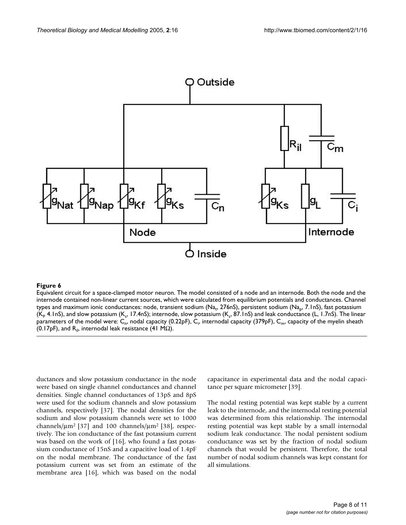<span id="page-7-0"></span>

# **Figure 6**

Equivalent circuit for a space-clamped motor neuron. The model consisted of a node and an internode. Both the node and the internode contained non-linear current sources, which were calculated from equilibrium potentials and conductances. Channel types and maximum ionic conductances: node, transient sodium (Na<sub>t</sub>, 276nS), persistent sodium (Na<sub>p</sub>, 7.1nS), fast potassium (K<sub>p</sub> 4.1nS), and slow potassium (K<sub>s</sub>, 17.4nS); internode, slow potassium (K<sub>s</sub>, 87.1nS) and leak conductance (L, 1.7nS). The linear parameters of the model were: C<sub>n</sub>, nodal capacity (0.22pF), C<sub>i</sub>, internodal capacity (379pF), C<sub>m</sub>, capacity of the myelin sheath (0.17pF), and R<sub>il</sub>, internodal leak resistance (41 MΩ).

ductances and slow potassium conductance in the node were based on single channel conductances and channel densities. Single channel conductances of 13pS and 8pS were used for the sodium channels and slow potassium channels, respectively [37]. The nodal densities for the sodium and slow potassium channels were set to 1000 channels/ $\mu$ m<sup>2</sup> [37] and 100 channels/ $\mu$ m<sup>2</sup> [38], respectively. The ion conductance of the fast potassium current was based on the work of [16], who found a fast potassium conductance of 15nS and a capacitive load of 1.4pF on the nodal membrane. The conductance of the fast potassium current was set from an estimate of the membrane area [16], which was based on the nodal

capacitance in experimental data and the nodal capacitance per square micrometer [39].

The nodal resting potential was kept stable by a current leak to the internode, and the internodal resting potential was determined from this relationship. The internodal resting potential was kept stable by a small internodal sodium leak conductance. The nodal persistent sodium conductance was set by the fraction of nodal sodium channels that would be persistent. Therefore, the total number of nodal sodium channels was kept constant for all simulations.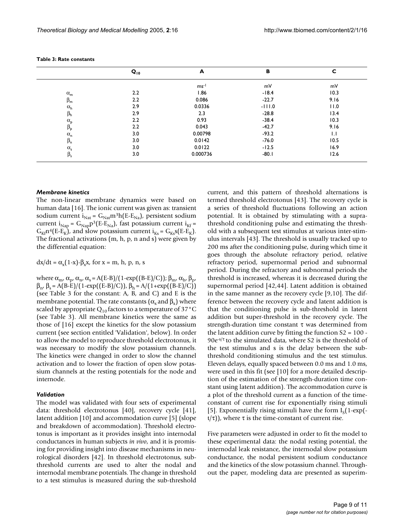|                    | $Q_{10}$ | A         | в        | с    |
|--------------------|----------|-----------|----------|------|
|                    |          | $ms^{-1}$ | mV       | mV   |
| $\alpha_{\rm m}$   | 2.2      | 1.86      | $-18.4$  | 10.3 |
| $\beta_m$          | 2.2      | 0.086     | $-22.7$  | 9.16 |
| $\alpha_{h}$       | 2.9      | 0.0336    | $-111.0$ | 11.0 |
| $\beta_{\sf h}$    | 2.9      | 2.3       | $-28.8$  | 13.4 |
| $\alpha_{\rm p}$   | 2.2      | 0.93      | $-38.4$  | 10.3 |
| $\beta_{p}$        | 2.2      | 0.043     | $-42.7$  | 9.16 |
| $\alpha_{n}$       | 3.0      | 0.00798   | $-93.2$  | 1.1  |
| $\beta_n$          | 3.0      | 0.0142    | $-76.0$  | 10.5 |
| $\alpha_\text{s}$  | 3.0      | 0.0122    | $-12.5$  | 16.9 |
| $\beta_{\text{s}}$ | 3.0      | 0.000736  | $-80.1$  | 12.6 |

| Table 3: Rate constants |
|-------------------------|
|-------------------------|

# *Membrane kinetics*

The non-linear membrane dynamics were based on human data [16]. The ionic current was given as: transient sodium current  $i_{Nat} = G_{Nat}m^3h(E-E_{Na})$ , persistent sodium current  $i_{Nap} = G_{Nap} p^3 (E-E_{Na})$ , fast potassium current  $i_{Kf}$  =  $G_{\text{Kf}}n^4(E-E_K)$ , and slow potassium current  $i_{\text{Ks}} = G_{\text{Ks}}s(E-E_K)$ . The fractional activations (m, h, p, n and s) were given by the differential equation:

 $dx/dt = \alpha_{\rm v}(1-x) - \beta_{\rm v}x$ , for  $x = m$ , h, p, n, s

where  $\alpha_{m}$ ,  $\alpha_{p}$ ,  $\alpha_{n}$ ,  $\alpha_{s}$  = A(E-B)/(1-exp((B-E)/C));  $\beta_{m}$ ,  $\alpha_{h}$ ,  $\beta_{p}$ ,  $\beta_{n'}$ , β<sub>s</sub> = A(B-E)/(1-exp((E-B)/C)), β<sub>h</sub> = A/(1+exp((B-E)/C)) (see Table 3 for the constant: A, B, and C) and E is the membrane potential. The rate constants ( $\alpha_x$  and  $\beta_x$ ) where scaled by appropriate  $Q_{10}$  factors to a temperature of 37°C (see Table 3). All membrane kinetics were the same as those of [16] except the kinetics for the slow potassium current (see section entitled 'Validation', below). In order to allow the model to reproduce threshold electrotonus, it was necessary to modify the slow potassium channels. The kinetics were changed in order to slow the channel activation and to lower the fraction of open slow potassium channels at the resting potentials for the node and internode.

#### *Validation*

The model was validated with four sets of experimental data: threshold electrotonus [40], recovery cycle [41], latent addition [10] and accommodation curve [5] (slope and breakdown of accommodation). Threshold electrotonus is important as it provides insight into internodal conductances in human subjects *in vivo*, and it is promising for providing insight into disease mechanisms in neurological disorders [42]. In threshold electrotonus, subthreshold currents are used to alter the nodal and internodal membrane potentials. The change in threshold to a test stimulus is measured during the sub-threshold current, and this pattern of threshold alternations is termed threshold electrotonus [43]. The recovery cycle is a series of threshold fluctuations following an action potential. It is obtained by stimulating with a suprathreshold conditioning pulse and estimating the threshold with a subsequent test stimulus at various inter-stimulus intervals [43]. The threshold is usually tracked up to 200 ms after the conditioning pulse, during which time it goes through the absolute refractory period, relative refractory period, supernormal period and subnormal period. During the refractory and subnormal periods the threshold is increased, whereas it is decreased during the supernormal period [42,44]. Latent addition is obtained in the same manner as the recovery cycle [9,10]. The difference between the recovery cycle and latent addition is that the conditioning pulse is sub-threshold in latent addition but super-threshold in the recovery cycle. The strength-duration time constant τ was determined from the latent addition curve by fitting the function  $S2 = 100$ . 90e-s/<sup>τ</sup> to the simulated data, where S2 is the threshold of the test stimulus and s is the delay between the subthreshold conditioning stimulus and the test stimulus. Eleven delays, equally spaced between 0.0 ms and 1.0 ms, were used in this fit (see [10] for a more detailed description of the estimation of the strength-duration time constant using latent addition). The accommodation curve is a plot of the threshold current as a function of the timeconstant of current rise for exponentially rising stimuli [5]. Exponentially rising stimuli have the form  $I_s(1-exp(-))$  $t/\tau$ ), where  $\tau$  is the time-constant of current rise.

Five parameters were adjusted in order to fit the model to these experimental data: the nodal resting potential, the internodal leak resistance, the internodal slow potassium conductance, the nodal persistent sodium conductance and the kinetics of the slow potassium channel. Throughout the paper, modeling data are presented as superim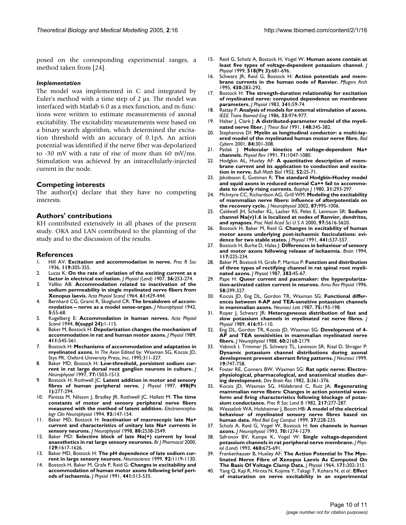posed on the corresponding experimental ranges, a method taken from [24].

#### *Implementation*

The model was implemented in C and integrated by Euler's method with a time step of 2 µs. The model was interfaced with Matlab 6.0 as a mex function, and m-functions were written to estimate measurements of axonal excitability. The excitability measurements were based on a binary search algorithm, which determined the excitation threshold with an accuracy of 0.1pA. An action potential was identified if the nerve fiber was depolarized to -30 mV with a rate of rise of more than 60 mV/ms. Stimulation was achieved by an intracellularly-injected current in the node.

#### **Competing interests**

The author(s) declare that they have no competing interests.

### **Authors' contributions**

KH contributed extensively in all phases of the present study. OKA and LAN contributed to the planning of the study and to the discussion of the results.

#### **References**

- 1. Hill AV: **Excitation and accommodation in nerve.** *Proc R Soc* 1936, **119:**305-355.
- 2. Lucas K: **On the rate of variation of the exciting current as a factor in electrical excitation.** *J Physiol (Lond)* 1907, **36:**253-274.
- 3. Vallbo AB: **[Accommodation related to inactivation of the](http://www.ncbi.nlm.nih.gov/entrez/query.fcgi?cmd=Retrieve&db=PubMed&dopt=Abstract&list_uids=14209259) [sodium permeability in single myelinated nerve fibers from](http://www.ncbi.nlm.nih.gov/entrez/query.fcgi?cmd=Retrieve&db=PubMed&dopt=Abstract&list_uids=14209259) [Xenopus laevis.](http://www.ncbi.nlm.nih.gov/entrez/query.fcgi?cmd=Retrieve&db=PubMed&dopt=Abstract&list_uids=14209259)** *Acta Physiol Scand* 1964, **61:**429-444.
- 4. Bernhard CG, Granit R, Skoglund CR: **The breakdown of accommodation – nerve as a model sense-organ.** *J Neurophysiol* 1942, **5:**55-68.
- 5. Kugelberg E: **Accommodation in human nerves.** *Acta Physiol Scand* 1944, **8(suppl 24):**1-115.
- 6. Baker M, Bostock H: **[Depolarization changes the mechanism of](http://www.ncbi.nlm.nih.gov/entrez/query.fcgi?cmd=Retrieve&db=PubMed&dopt=Abstract&list_uids=2614732) [accommodation in rat and human motor axons.](http://www.ncbi.nlm.nih.gov/entrez/query.fcgi?cmd=Retrieve&db=PubMed&dopt=Abstract&list_uids=2614732)** *J Physiol* 1989, **411:**545-561.
- 7. Bostock H: **Mechanisms of accommodation and adaptation in myelinated axons.** In *The Axon* Edited by: Waxman SG, Kocsis JD, Stys PK. Oxford University Press, Inc; 1995:311-327.
- 8. Baker MD, Bostock H: **[Low-threshold, persistent sodium cur](http://www.ncbi.nlm.nih.gov/entrez/query.fcgi?cmd=Retrieve&db=PubMed&dopt=Abstract&list_uids=9084615)[rent in rat large dorsal root ganglion neurons in culture.](http://www.ncbi.nlm.nih.gov/entrez/query.fcgi?cmd=Retrieve&db=PubMed&dopt=Abstract&list_uids=9084615)** *J Neurophysiol* 1997, **77:**1503-1513.
- 9. Bostock H, Rothwell JC: **[Latent addition in motor and sensory](http://www.ncbi.nlm.nih.gov/entrez/query.fcgi?cmd=Retrieve&db=PubMed&dopt=Abstract&list_uids=9023784) [fibres of human peripheral nerve.](http://www.ncbi.nlm.nih.gov/entrez/query.fcgi?cmd=Retrieve&db=PubMed&dopt=Abstract&list_uids=9023784)** *J Physiol* 1997, **498(Pt 1):**277-294.
- 10. Panizza M, Nilsson J, Bradley JR, Rothwell JC, Hallett M: **[The time](http://www.ncbi.nlm.nih.gov/entrez/query.fcgi?cmd=Retrieve&db=PubMed&dopt=Abstract&list_uids=7512921) [constants of motor and sensory peripheral nerve fibers](http://www.ncbi.nlm.nih.gov/entrez/query.fcgi?cmd=Retrieve&db=PubMed&dopt=Abstract&list_uids=7512921) [measured with the method of latent addition.](http://www.ncbi.nlm.nih.gov/entrez/query.fcgi?cmd=Retrieve&db=PubMed&dopt=Abstract&list_uids=7512921)** *Electroencephalogr Clin Neurophysiol* 1994, **93:**147-154.
- 11. Baker MD, Bostock H: **[Inactivation of macroscopic late Na+](http://www.ncbi.nlm.nih.gov/entrez/query.fcgi?cmd=Retrieve&db=PubMed&dopt=Abstract&list_uids=9819261) [current and characteristics of unitary late Na+ currents in](http://www.ncbi.nlm.nih.gov/entrez/query.fcgi?cmd=Retrieve&db=PubMed&dopt=Abstract&list_uids=9819261) [sensory neurons.](http://www.ncbi.nlm.nih.gov/entrez/query.fcgi?cmd=Retrieve&db=PubMed&dopt=Abstract&list_uids=9819261)** *J Neurophysiol* 1998, **80:**2538-2549.
- 12. Baker MD: **[Selective block of late Na\(+\) current by local](http://www.ncbi.nlm.nih.gov/entrez/query.fcgi?cmd=Retrieve&db=PubMed&dopt=Abstract&list_uids=10780966) [anaesthetics in rat large sensory neurones.](http://www.ncbi.nlm.nih.gov/entrez/query.fcgi?cmd=Retrieve&db=PubMed&dopt=Abstract&list_uids=10780966)** *Br J Pharmacol* 2000, **129:**1617-1626.
- 13. Baker MD, Bostock H: **[The pH dependence of late sodium cur](http://www.ncbi.nlm.nih.gov/entrez/query.fcgi?cmd=Retrieve&db=PubMed&dopt=Abstract&list_uids=10426550)[rent in large sensory neurons.](http://www.ncbi.nlm.nih.gov/entrez/query.fcgi?cmd=Retrieve&db=PubMed&dopt=Abstract&list_uids=10426550)** *Neuroscience* 1999, **92:**1119-1130.
- 14. Bostock H, Baker M, Grafe P, Reid G: **[Changes in excitability and](http://www.ncbi.nlm.nih.gov/entrez/query.fcgi?cmd=Retrieve&db=PubMed&dopt=Abstract&list_uids=1816385) [accommodation of human motor axons following brief peri](http://www.ncbi.nlm.nih.gov/entrez/query.fcgi?cmd=Retrieve&db=PubMed&dopt=Abstract&list_uids=1816385)[ods of ischaemia.](http://www.ncbi.nlm.nih.gov/entrez/query.fcgi?cmd=Retrieve&db=PubMed&dopt=Abstract&list_uids=1816385)** *J Physiol* 1991, **441:**513-535.
- 15. Reid G, Scholz A, Bostock H, Vogel W: **[Human axons contain at](http://www.ncbi.nlm.nih.gov/entrez/query.fcgi?cmd=Retrieve&db=PubMed&dopt=Abstract&list_uids=10420006) [least five types of voltage-dependent potassium channel.](http://www.ncbi.nlm.nih.gov/entrez/query.fcgi?cmd=Retrieve&db=PubMed&dopt=Abstract&list_uids=10420006)** *J Physiol* 1999, **518(Pt 3):**681-696.
- 16. Schwarz JR, Reid G, Bostock H: **[Action potentials and mem](http://www.ncbi.nlm.nih.gov/entrez/query.fcgi?cmd=Retrieve&db=PubMed&dopt=Abstract&list_uids=7675638)[brane currents in the human node of Ranvier.](http://www.ncbi.nlm.nih.gov/entrez/query.fcgi?cmd=Retrieve&db=PubMed&dopt=Abstract&list_uids=7675638)** *Pflugers Arch* 1995, **430:**283-292.
- 17. Bostock H: **[The strength-duration relationship for excitation](http://www.ncbi.nlm.nih.gov/entrez/query.fcgi?cmd=Retrieve&db=PubMed&dopt=Abstract&list_uids=6312032) [of myelinated nerve: computed dependence on membrane](http://www.ncbi.nlm.nih.gov/entrez/query.fcgi?cmd=Retrieve&db=PubMed&dopt=Abstract&list_uids=6312032) [parameters.](http://www.ncbi.nlm.nih.gov/entrez/query.fcgi?cmd=Retrieve&db=PubMed&dopt=Abstract&list_uids=6312032)** *J Physiol* 1983, **341:**59-74.
- 18. Rattay F: **[Analysis of models for external stimulation of axons.](http://www.ncbi.nlm.nih.gov/entrez/query.fcgi?cmd=Retrieve&db=PubMed&dopt=Abstract&list_uids=3770787)** *IEEE Trans Biomed Eng* 1986, **33:**974-977.
- 19. Halter J, Clark J: **[A distributed-parameter model of the myeli](http://www.ncbi.nlm.nih.gov/entrez/query.fcgi?cmd=Retrieve&db=PubMed&dopt=Abstract&list_uids=2016898)[nated nerve fiber.](http://www.ncbi.nlm.nih.gov/entrez/query.fcgi?cmd=Retrieve&db=PubMed&dopt=Abstract&list_uids=2016898)** *J Theor Biol* 1991, **148:**345-382.
- 20. Stephanova DI: **[Myelin as longitudinal conductor: a multi-lay](http://www.ncbi.nlm.nih.gov/entrez/query.fcgi?cmd=Retrieve&db=PubMed&dopt=Abstract&list_uids=11324341)[ered model of the myelinated human motor nerve fibre.](http://www.ncbi.nlm.nih.gov/entrez/query.fcgi?cmd=Retrieve&db=PubMed&dopt=Abstract&list_uids=11324341)** *Biol Cybern* 2001, **84:**301-308.
- 21. Patlak J: **[Molecular kinetics of voltage-dependent Na+](http://www.ncbi.nlm.nih.gov/entrez/query.fcgi?cmd=Retrieve&db=PubMed&dopt=Abstract&list_uids=1656476) [channels.](http://www.ncbi.nlm.nih.gov/entrez/query.fcgi?cmd=Retrieve&db=PubMed&dopt=Abstract&list_uids=1656476)** *Physiol Rev* 1991, **71:**1047-1080.
- 22. Hodgkin AL, Huxley AF: **A quantitative description of membrane current and its application to conduction and excitation in nerve.** *Bull Math Biol* 1952, **52:**25-71.
- 23. Jakobsson E, Guttman R: **[The standard Hodgkin-Huxley model](http://www.ncbi.nlm.nih.gov/entrez/query.fcgi?cmd=Retrieve&db=PubMed&dopt=Abstract&list_uids=7260290) [and squid axons in reduced external Ca++ fail to accommo](http://www.ncbi.nlm.nih.gov/entrez/query.fcgi?cmd=Retrieve&db=PubMed&dopt=Abstract&list_uids=7260290)[date to slowly rising currents.](http://www.ncbi.nlm.nih.gov/entrez/query.fcgi?cmd=Retrieve&db=PubMed&dopt=Abstract&list_uids=7260290)** *Biophys J* 1980, **31:**293-297.
- 24. McIntyre CC, Richardson AG, Grill WM: **[Modeling the excitability](http://www.ncbi.nlm.nih.gov/entrez/query.fcgi?cmd=Retrieve&db=PubMed&dopt=Abstract&list_uids=11826063) [of mammalian nerve fibers: influence of afterpotentials on](http://www.ncbi.nlm.nih.gov/entrez/query.fcgi?cmd=Retrieve&db=PubMed&dopt=Abstract&list_uids=11826063) [the recovery cycle.](http://www.ncbi.nlm.nih.gov/entrez/query.fcgi?cmd=Retrieve&db=PubMed&dopt=Abstract&list_uids=11826063)** *J Neurophysiol* 2002, **87:**995-1006.
- 25. Caldwell JH, Schaller KL, Lasher RS, Peles E, Levinson SR: **[Sodium](http://www.ncbi.nlm.nih.gov/entrez/query.fcgi?cmd=Retrieve&db=PubMed&dopt=Abstract&list_uids=10779552) [channel Na\(v\)1.6 is localized at nodes of Ranvier, dendrites,](http://www.ncbi.nlm.nih.gov/entrez/query.fcgi?cmd=Retrieve&db=PubMed&dopt=Abstract&list_uids=10779552) [and synapses.](http://www.ncbi.nlm.nih.gov/entrez/query.fcgi?cmd=Retrieve&db=PubMed&dopt=Abstract&list_uids=10779552)** *Proc Natl Acad Sci U S A* 2000, **97:**5616-5620.
- 26. Bostock H, Baker M, Reid G: **[Changes in excitability of human](http://www.ncbi.nlm.nih.gov/entrez/query.fcgi?cmd=Retrieve&db=PubMed&dopt=Abstract&list_uids=1667800) [motor axons underlying post-ischaemic fasciculations: evi](http://www.ncbi.nlm.nih.gov/entrez/query.fcgi?cmd=Retrieve&db=PubMed&dopt=Abstract&list_uids=1667800)[dence for two stable states.](http://www.ncbi.nlm.nih.gov/entrez/query.fcgi?cmd=Retrieve&db=PubMed&dopt=Abstract&list_uids=1667800)** *J Physiol* 1991, **441:**537-557.
- 27. Bostock H, Burke D, Hales J: **[Differences in behaviour of sensory](http://www.ncbi.nlm.nih.gov/entrez/query.fcgi?cmd=Retrieve&db=PubMed&dopt=Abstract&list_uids=8186950) [and motor axons following release of ischaemia.](http://www.ncbi.nlm.nih.gov/entrez/query.fcgi?cmd=Retrieve&db=PubMed&dopt=Abstract&list_uids=8186950)** *Brain* 1994, **117:**225-234.
- 28. Baker M, Bostock H, Grafe P, Martius P: **[Function and distribution](http://www.ncbi.nlm.nih.gov/entrez/query.fcgi?cmd=Retrieve&db=PubMed&dopt=Abstract&list_uids=2443652) [of three types of rectifying channel in rat spinal root myeli](http://www.ncbi.nlm.nih.gov/entrez/query.fcgi?cmd=Retrieve&db=PubMed&dopt=Abstract&list_uids=2443652)[nated axons.](http://www.ncbi.nlm.nih.gov/entrez/query.fcgi?cmd=Retrieve&db=PubMed&dopt=Abstract&list_uids=2443652)** *J Physiol* 1987, **383:**45-67.
- 29. Pape H: **[Queer current and pacemaker: the hyperpolariza](http://www.ncbi.nlm.nih.gov/entrez/query.fcgi?cmd=Retrieve&db=PubMed&dopt=Abstract&list_uids=8815797)[tion-activated cation current in neurons.](http://www.ncbi.nlm.nih.gov/entrez/query.fcgi?cmd=Retrieve&db=PubMed&dopt=Abstract&list_uids=8815797)** *Annu Rev Physiol* 1996, **58:**299-327.
- 30. Kocsis JD, Eng DL, Gordon TR, Waxman SG: **[Functional differ](http://www.ncbi.nlm.nih.gov/entrez/query.fcgi?cmd=Retrieve&db=PubMed&dopt=Abstract&list_uids=2437499)[ences between 4-AP and TEA-sensitive potassium channels](http://www.ncbi.nlm.nih.gov/entrez/query.fcgi?cmd=Retrieve&db=PubMed&dopt=Abstract&list_uids=2437499) [in mammalian axons.](http://www.ncbi.nlm.nih.gov/entrez/query.fcgi?cmd=Retrieve&db=PubMed&dopt=Abstract&list_uids=2437499)** *Neurosci Lett* 1987, **75:**193-198.
- 31. Roper J, Schwarz JR: **[Heterogeneous distribution of fast and](http://www.ncbi.nlm.nih.gov/entrez/query.fcgi?cmd=Retrieve&db=PubMed&dopt=Abstract&list_uids=2558178) [slow potassium channels in myelinated rat nerve fibres.](http://www.ncbi.nlm.nih.gov/entrez/query.fcgi?cmd=Retrieve&db=PubMed&dopt=Abstract&list_uids=2558178)** *J Physiol* 1989, **416:**93-110.
- 32. Eng DL, Gordon TR, Kocsis JD, Waxman SG: **[Development of 4-](http://www.ncbi.nlm.nih.gov/entrez/query.fcgi?cmd=Retrieve&db=PubMed&dopt=Abstract&list_uids=2853208) [AP and TEA sensitivities in mammalian myelinated nerve](http://www.ncbi.nlm.nih.gov/entrez/query.fcgi?cmd=Retrieve&db=PubMed&dopt=Abstract&list_uids=2853208) [fibers.](http://www.ncbi.nlm.nih.gov/entrez/query.fcgi?cmd=Retrieve&db=PubMed&dopt=Abstract&list_uids=2853208)** *J Neurophysiol* 1988, **60:**2168-2179.
- 33. Vabnick I, Trimmer JS, Schwarz TL, Levinson SR, Risal D, Shrager P: **[Dynamic potassium channel distributions during axonal](http://www.ncbi.nlm.nih.gov/entrez/query.fcgi?cmd=Retrieve&db=PubMed&dopt=Abstract&list_uids=9880595) [development prevent aberrant firing patterns.](http://www.ncbi.nlm.nih.gov/entrez/query.fcgi?cmd=Retrieve&db=PubMed&dopt=Abstract&list_uids=9880595)** *J Neurosci* 1999, **19:**747-758.
- 34. Foster RE, Conners BW, Waxman SG: **Rat optic nerve: Electrophysiological, pharmacological, and anatomical studies during development.** *Dev Brain Res* 1982, **3:**361-376.
- 35. Kocsis JD, Waxman SG, Hildebrand C, Ruiz JA: **Regenerating mammalian nerve fibers: Changes in action potential waveform and firing characteristics following blockage of potassium conductance.** *Proc R Soc Lond B* 1982, **217:**277-287.
- 36. Wesselink WA, Holsheimer J, Boom HB: **[A model of the electrical](http://www.ncbi.nlm.nih.gov/entrez/query.fcgi?cmd=Retrieve&db=PubMed&dopt=Abstract&list_uids=10396827) [behaviour of myelinated sensory nerve fibres based on](http://www.ncbi.nlm.nih.gov/entrez/query.fcgi?cmd=Retrieve&db=PubMed&dopt=Abstract&list_uids=10396827) [human data.](http://www.ncbi.nlm.nih.gov/entrez/query.fcgi?cmd=Retrieve&db=PubMed&dopt=Abstract&list_uids=10396827)** *Med Biol Eng Comput* 1999, **37:**228-235.
- 37. Scholz A, Reid G, Vogel W, Bostock H: **[Ion channels in human](http://www.ncbi.nlm.nih.gov/entrez/query.fcgi?cmd=Retrieve&db=PubMed&dopt=Abstract&list_uids=7693885) [axons.](http://www.ncbi.nlm.nih.gov/entrez/query.fcgi?cmd=Retrieve&db=PubMed&dopt=Abstract&list_uids=7693885)** *J Neurophysiol* 1993, **70:**1274-1279.
- 38. Safronov BV, Kampe K, Vogel W: **[Single voltage-dependent](http://www.ncbi.nlm.nih.gov/entrez/query.fcgi?cmd=Retrieve&db=PubMed&dopt=Abstract&list_uids=8387591) [potassium channels in rat peripheral nerve membrane.](http://www.ncbi.nlm.nih.gov/entrez/query.fcgi?cmd=Retrieve&db=PubMed&dopt=Abstract&list_uids=8387591)** *J Physiol (Lond)* 1993, **460:**675-691.
- 39. Frankenhauser B, Huxley AF: **[The Action Potential In The Mye](http://www.ncbi.nlm.nih.gov/entrez/query.fcgi?cmd=Retrieve&db=PubMed&dopt=Abstract&list_uids=14191481)[linated Nerve Fibre of Xenopus Laevis As Computed On](http://www.ncbi.nlm.nih.gov/entrez/query.fcgi?cmd=Retrieve&db=PubMed&dopt=Abstract&list_uids=14191481) [The Basis Of Voltage Clamp Data.](http://www.ncbi.nlm.nih.gov/entrez/query.fcgi?cmd=Retrieve&db=PubMed&dopt=Abstract&list_uids=14191481)** *J Physiol* 1964, **171:**302-315.
- 40. Yang Q, Kaji R, Hirota N, Kojima Y, Takagi T, Kohara N, *et al.*: **[Effect](http://www.ncbi.nlm.nih.gov/entrez/query.fcgi?cmd=Retrieve&db=PubMed&dopt=Abstract&list_uids=10716759) [of maturation on nerve excitability in an experimental](http://www.ncbi.nlm.nih.gov/entrez/query.fcgi?cmd=Retrieve&db=PubMed&dopt=Abstract&list_uids=10716759)**